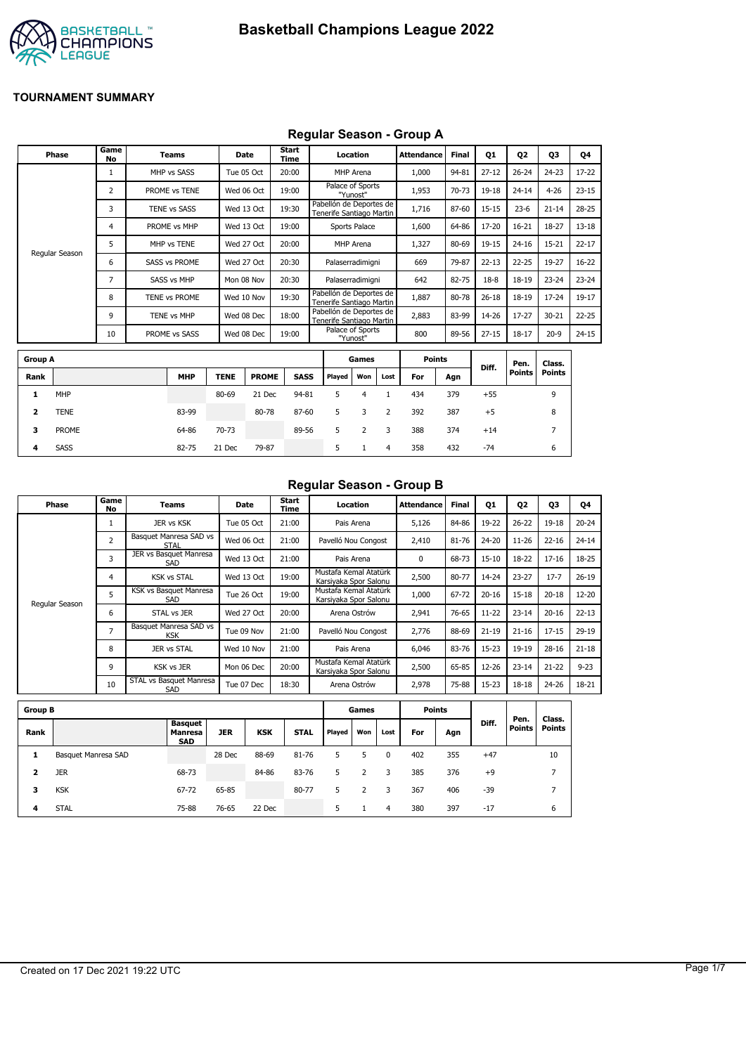

#### **Regular Season - Group A**

|                | <b>Phase</b>   | Game<br>No | <b>Teams</b>         |             | Date         | <b>Start</b><br>Time |             |                                                     | Location         |      | <b>Attendance</b> | <b>Final</b> | 01        | <b>Q2</b>     | 03             | Q4        |
|----------------|----------------|------------|----------------------|-------------|--------------|----------------------|-------------|-----------------------------------------------------|------------------|------|-------------------|--------------|-----------|---------------|----------------|-----------|
|                |                | 1          | MHP vs SASS          |             | Tue 05 Oct   | 20:00                |             |                                                     | <b>MHP</b> Arena |      | 1,000             | 94-81        | $27 - 12$ | $26 - 24$     | $24 - 23$      | 17-22     |
|                |                | 2          | PROME vs TENE        |             | Wed 06 Oct   | 19:00                |             | Palace of Sports                                    | "Yunost"         |      | 1,953             | 70-73        | 19-18     | $24 - 14$     | $4 - 26$       | $23 - 15$ |
|                |                | 3          | TENE vs SASS         |             | Wed 13 Oct   | 19:30                |             | Pabellón de Deportes de<br>Tenerife Santiago Martin |                  |      | 1,716             | 87-60        | $15 - 15$ | $23-6$        | $21 - 14$      | 28-25     |
|                |                | 4          | PROME vs MHP         |             | Wed 13 Oct   | 19:00                |             |                                                     | Sports Palace    |      | 1,600             | 64-86        | 17-20     | $16 - 21$     | 18-27          | $13 - 18$ |
|                |                | 5          | MHP vs TENE          |             | Wed 27 Oct   | 20:00                |             |                                                     | MHP Arena        |      | 1,327             | 80-69        | 19-15     | $24 - 16$     | $15 - 21$      | $22 - 17$ |
|                | Regular Season | 6          | <b>SASS vs PROME</b> |             | Wed 27 Oct   | 20:30                |             | Palaserradimigni                                    |                  |      | 669               | 79-87        | $22 - 13$ | $22 - 25$     | 19-27          | $16 - 22$ |
|                |                | 7          | SASS vs MHP          |             | Mon 08 Nov   | 20:30                |             | Palaserradimigni                                    |                  |      | 642               | 82-75        | $18-8$    | 18-19         | $23 - 24$      | $23 - 24$ |
|                |                | 8          | TENE vs PROME        |             | Wed 10 Nov   | 19:30                |             | Pabellón de Deportes de<br>Tenerife Santiago Martin |                  |      | 1,887             | 80-78        | $26 - 18$ | 18-19         | $17 - 24$      | 19-17     |
|                |                | 9          | <b>TENE vs MHP</b>   |             | Wed 08 Dec   | 18:00                |             | Pabellón de Deportes de<br>Tenerife Santiago Martin |                  |      | 2,883             | 83-99        | 14-26     | $17 - 27$     | $30 - 21$      | $22 - 25$ |
|                |                | 10         | PROME vs SASS        |             | Wed 08 Dec   | 19:00                |             | Palace of Sports                                    | "Yunost"         |      | 800               | 89-56        | $27 - 15$ | $18 - 17$     | $20-9$         | $24 - 15$ |
|                |                |            |                      |             |              |                      |             |                                                     |                  |      |                   |              |           |               |                |           |
| <b>Group A</b> |                |            |                      |             |              |                      |             |                                                     | Games            |      | <b>Points</b>     |              | Diff.     | Pen.          | Class.         |           |
| Rank           |                |            | <b>MHP</b>           | <b>TENE</b> | <b>PROME</b> |                      | <b>SASS</b> | <b>Plaved</b>                                       | Won              | Lost | For               | Agn          |           | <b>Points</b> | <b>Points</b>  |           |
| 1              | MHP            |            |                      | 80-69       | 21 Dec       | 94-81                |             | 5                                                   | 4                | 1    | 434               | 379          | $+55$     |               | 9              |           |
| 2              | <b>TENE</b>    |            | 83-99                |             | 80-78        | 87-60                |             | 5                                                   | 3                | 2    | 392               | 387          | $+5$      |               | 8              |           |
| 3              | PROME          |            | 64-86                | 70-73       |              | 89-56                |             | 5                                                   | $\overline{2}$   | 3    | 388               | 374          | $+14$     |               | $\overline{7}$ |           |

**4** SASS 82-75 21 Dec 79-87 5 1 4 358 432 -74 6

#### **Regular Season - Group B**

| Phase          | Game<br>No     | Teams                                | Date       | Start<br>Time | Location                                       | <b>Attendance</b> | <b>Final</b> | 01        | 02        | 03        | Q4        |
|----------------|----------------|--------------------------------------|------------|---------------|------------------------------------------------|-------------------|--------------|-----------|-----------|-----------|-----------|
|                |                | JER vs KSK                           | Tue 05 Oct | 21:00         | Pais Arena                                     | 5,126             | 84-86        | 19-22     | $26 - 22$ | 19-18     | $20 - 24$ |
|                | 2              | Basquet Manresa SAD vs<br>STAL       | Wed 06 Oct | 21:00         | Pavelló Nou Congost                            | 2,410             | 81-76        | 24-20     | $11 - 26$ | $22 - 16$ | $24 - 14$ |
|                | 3              | JER vs Basquet Manresa<br>SAD        | Wed 13 Oct | 21:00         | Pais Arena                                     | 0                 | 68-73        | $15 - 10$ | 18-22     | $17 - 16$ | 18-25     |
|                | 4              | <b>KSK vs STAL</b>                   | Wed 13 Oct | 19:00         | Mustafa Kemal Atatürk<br>Karsiyaka Spor Salonu | 2,500             | 80-77        | 14-24     | $23 - 27$ | $17 - 7$  | $26 - 19$ |
| Regular Season | 5              | KSK vs Basquet Manresa<br>SAD        | Tue 26 Oct | 19:00         | Mustafa Kemal Atatürk<br>Karsiyaka Spor Salonu | 1,000             | 67-72        | $20 - 16$ | $15 - 18$ | $20 - 18$ | $12 - 20$ |
|                | 6              | STAL vs JER                          | Wed 27 Oct | 20:00         | Arena Ostrów                                   | 2,941             | 76-65        | $11 - 22$ | $23 - 14$ | $20 - 16$ | $22 - 13$ |
|                | $\overline{7}$ | Basquet Manresa SAD vs<br><b>KSK</b> | Tue 09 Nov | 21:00         | Pavelló Nou Congost                            | 2,776             | 88-69        | $21 - 19$ | $21 - 16$ | $17 - 15$ | $29-19$   |
|                | 8              | JER vs STAL                          | Wed 10 Nov | 21:00         | Pais Arena                                     | 6.046             | 83-76        | $15 - 23$ | 19-19     | $28 - 16$ | $21 - 18$ |
|                | 9              | <b>KSK vs JER</b>                    | Mon 06 Dec | 20:00         | Mustafa Kemal Atatürk<br>Karsiyaka Spor Salonu | 2,500             | 65-85        | 12-26     | $23 - 14$ | $21 - 22$ | $9 - 23$  |
|                | 10             | STAL vs Basquet Manresa<br>SAD       | Tue 07 Dec | 18:30         | Arena Ostrów                                   | 2,978             | 75-88        | 15-23     | $18 - 18$ | $24 - 26$ | 18-21     |

| <b>Group B</b> |                     |                                         |            |            |             |        | Games |      | <b>Points</b> |     |       |                       |                         |
|----------------|---------------------|-----------------------------------------|------------|------------|-------------|--------|-------|------|---------------|-----|-------|-----------------------|-------------------------|
| Rank           |                     | <b>Basquet</b><br>Manresa<br><b>SAD</b> | <b>JER</b> | <b>KSK</b> | <b>STAL</b> | Played | Won   | Lost | For           | Agn | Diff. | Pen.<br><b>Points</b> | Class.<br><b>Points</b> |
| 1              | Basquet Manresa SAD |                                         | 28 Dec     | 88-69      | 81-76       | 5      |       | 0    | 402           | 355 | $+47$ |                       | 10                      |
| 2              | <b>JER</b>          | 68-73                                   |            | 84-86      | 83-76       | 5      |       | 3    | 385           | 376 | $+9$  |                       | ⇁                       |
| 3              | <b>KSK</b>          | 67-72                                   | 65-85      |            | 80-77       | 5      | 2     | 3    | 367           | 406 | $-39$ |                       | ⇁                       |
| 4              | <b>STAL</b>         | 75-88                                   | 76-65      | 22 Dec     |             | 5.     |       | 4    | 380           | 397 | $-17$ |                       | 6                       |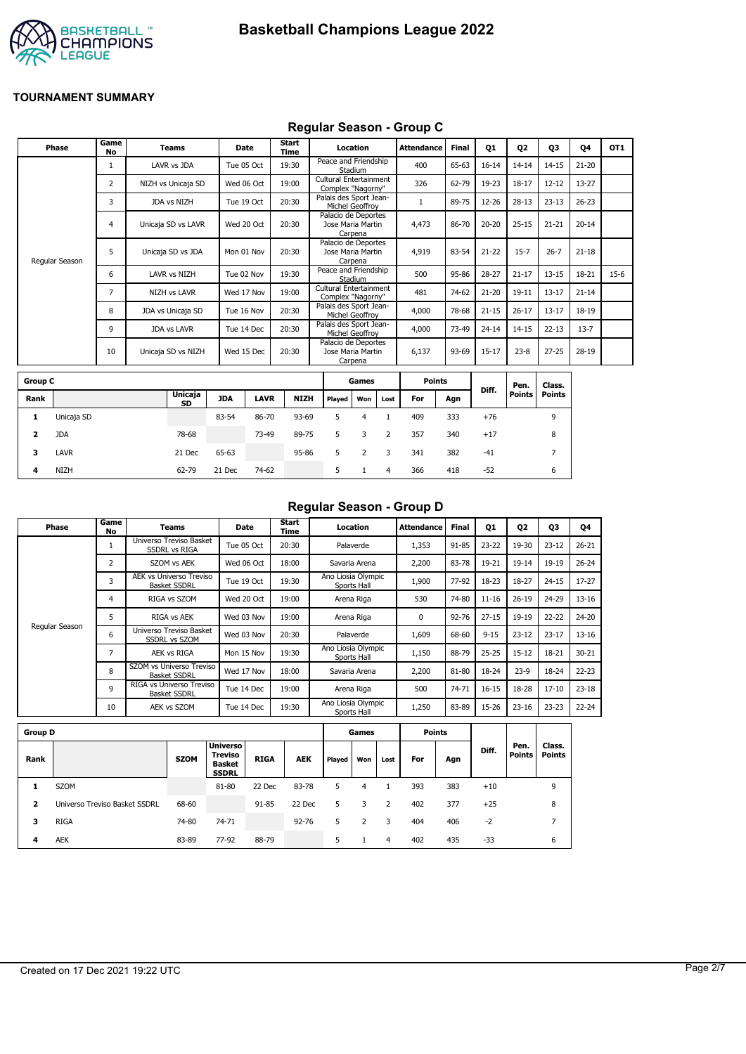

## **Regular Season - Group C**

|                | Phase          | Game<br>No     | Teams               | <b>Date</b> |             | Start<br>Time |                                             | Location               |                | <b>Attendance</b> | <b>Final</b> | Q1        | Q <sub>2</sub> | Q3             | Q4        | OT <sub>1</sub> |
|----------------|----------------|----------------|---------------------|-------------|-------------|---------------|---------------------------------------------|------------------------|----------------|-------------------|--------------|-----------|----------------|----------------|-----------|-----------------|
|                |                | 1              | LAVR vs JDA         |             | Tue 05 Oct  | 19:30         | Peace and Friendship                        | Stadium                |                | 400               | 65-63        | $16 - 14$ | $14 - 14$      | $14 - 15$      | $21 - 20$ |                 |
|                |                | 2              | NIZH vs Unicaja SD  |             | Wed 06 Oct  | 19:00         | Cultural Entertainment<br>Complex "Nagorny" |                        |                | 326               | 62-79        | 19-23     | $18 - 17$      | $12 - 12$      | $13 - 27$ |                 |
|                |                | 3              | JDA vs NIZH         |             | Tue 19 Oct  | 20:30         | Palais des Sport Jean-                      | Michel Geoffroy        |                | $\mathbf{1}$      | 89-75        | 12-26     | $28 - 13$      | $23 - 13$      | $26 - 23$ |                 |
|                |                | $\overline{4}$ | Unicaja SD vs LAVR  |             | Wed 20 Oct  | 20:30         | Palacio de Deportes<br>Jose Maria Martin    | Carpena                |                | 4,473             | 86-70        | $20 - 20$ | $25 - 15$      | $21 - 21$      | $20 - 14$ |                 |
|                | Regular Season | 5              | Unicaja SD vs JDA   | Mon 01 Nov  |             | 20:30         | Palacio de Deportes<br>Jose Maria Martin    | Carpena                |                | 4,919             | 83-54        | $21 - 22$ | $15 - 7$       | $26 - 7$       | $21 - 18$ |                 |
|                |                | 6              | LAVR vs NIZH        |             | Tue 02 Nov  | 19:30         | Peace and Friendship                        | Stadium                |                | 500               | 95-86        | 28-27     | $21 - 17$      | $13 - 15$      | 18-21     | $15-6$          |
|                |                | 7              | <b>NIZH vs LAVR</b> |             | Wed 17 Nov  | 19:00         | Cultural Entertainment<br>Complex "Nagorny" |                        |                | 481               | 74-62        | $21 - 20$ | $19 - 11$      | $13 - 17$      | $21 - 14$ |                 |
|                |                | 8              | JDA vs Unicaja SD   | Tue 16 Nov  |             | 20:30         | Palais des Sport Jean-                      | Michel Geoffroy        |                | 4,000             | 78-68        | $21 - 15$ | $26 - 17$      | $13 - 17$      | 18-19     |                 |
|                |                | 9              | <b>JDA vs LAVR</b>  |             | Tue 14 Dec  | 20:30         | Palais des Sport Jean-                      | <b>Michel Geoffrov</b> |                | 4,000             | 73-49        | $24 - 14$ | $14 - 15$      | $22 - 13$      | $13 - 7$  |                 |
|                |                | 10             | Unicaja SD vs NIZH  | Wed 15 Dec  |             | 20:30         | Palacio de Deportes<br>Jose Maria Martin    | Carpena                |                | 6,137             | 93-69        | $15 - 17$ | $23 - 8$       | $27 - 25$      | 28-19     |                 |
| <b>Group C</b> |                |                |                     |             |             |               |                                             | Games                  |                | <b>Points</b>     |              |           | Pen.           | Class.         |           |                 |
| Rank           |                |                | Unicaja<br>SD       | <b>JDA</b>  | <b>LAVR</b> | <b>NIZH</b>   | Played                                      | Won                    | Lost           | For               | Agn          | Diff.     | <b>Points</b>  | <b>Points</b>  |           |                 |
| 1              | Unicaja SD     |                |                     | 83-54       | 86-70       | 93-69         | 5                                           | $\overline{4}$         | $\mathbf{1}$   | 409               | 333          | $+76$     |                | 9              |           |                 |
| 2              | <b>JDA</b>     |                | 78-68               |             | 73-49       | 89-75         | 5                                           | 3                      | 2              | 357               | 340          | $+17$     |                | 8              |           |                 |
| з              | <b>LAVR</b>    |                | 21 Dec              | 65-63       |             | 95-86         | 5                                           | $\overline{2}$         | 3              | 341               | 382          | $-41$     |                | $\overline{7}$ |           |                 |
| 4              | <b>NIZH</b>    |                | 62-79               | 21 Dec      | 74-62       |               | 5                                           | $\mathbf{1}$           | $\overline{4}$ | 366               | 418          | $-52$     |                | 6              |           |                 |

#### **Regular Season - Group D**

| Phase          | Game<br>No     | Teams                                           | Date       | Start<br>Time | Location                          | <b>Attendance</b> | <b>Final</b> | Q1        | Q <sub>2</sub> | 03        | Q4        |
|----------------|----------------|-------------------------------------------------|------------|---------------|-----------------------------------|-------------------|--------------|-----------|----------------|-----------|-----------|
|                |                | Universo Treviso Basket<br><b>SSDRL vs RIGA</b> | Tue 05 Oct | 20:30         | Palaverde                         | 1,353             | $91 - 85$    | $23 - 22$ | 19-30          | $23 - 12$ | $26 - 21$ |
|                | 2              | SZOM vs AEK                                     | Wed 06 Oct | 18:00         | Savaria Arena                     | 2,200             | 83-78        | 19-21     | 19-14          | 19-19     | $26 - 24$ |
|                | 3              | AEK vs Universo Treviso<br><b>Basket SSDRL</b>  | Tue 19 Oct | 19:30         | Ano Liosia Olympic<br>Sports Hall | 1,900             | 77-92        | 18-23     | 18-27          | $24 - 15$ | $17 - 27$ |
|                | 4              | RIGA vs SZOM                                    | Wed 20 Oct | 19:00         | Arena Riga                        | 530               | 74-80        | $11 - 16$ | $26 - 19$      | 24-29     | $13 - 16$ |
|                | 5              | RIGA vs AEK                                     | Wed 03 Nov | 19:00         | Arena Riga                        | 0                 | $92 - 76$    | $27 - 15$ | 19-19          | $22 - 22$ | 24-20     |
| Regular Season | 6              | Universo Treviso Basket<br>SSDRL vs SZOM        | Wed 03 Nov | 20:30         | Palaverde                         | 1,609             | 68-60        | $9 - 15$  | $23 - 12$      | $23 - 17$ | $13 - 16$ |
|                | $\overline{ }$ | AEK vs RIGA                                     | Mon 15 Nov | 19:30         | Ano Liosia Olympic<br>Sports Hall | 1,150             | 88-79        | $25 - 25$ | $15 - 12$      | 18-21     | $30 - 21$ |
|                | 8              | SZOM vs Universo Treviso<br><b>Basket SSDRL</b> | Wed 17 Nov | 18:00         | Savaria Arena                     | 2,200             | 81-80        | 18-24     | $23-9$         | 18-24     | $22 - 23$ |
|                | 9              | RIGA vs Universo Treviso<br><b>Basket SSDRL</b> | Tue 14 Dec | 19:00         | Arena Riga                        | 500               | 74-71        | 16-15     | 18-28          | $17 - 10$ | $23 - 18$ |
|                | 10             | AEK vs SZOM                                     | Tue 14 Dec | 19:30         | Ano Liosia Olympic<br>Sports Hall | 1,250             | 83-89        | 15-26     | $23 - 16$      | $23 - 23$ | $22 - 24$ |

| <b>Group D</b> |                               |             |                                                                    |             |            |        | Games |                |     | <b>Points</b> |       |                |                         |
|----------------|-------------------------------|-------------|--------------------------------------------------------------------|-------------|------------|--------|-------|----------------|-----|---------------|-------|----------------|-------------------------|
| Rank           |                               | <b>SZOM</b> | <b>Universo</b><br><b>Treviso</b><br><b>Basket</b><br><b>SSDRL</b> | <b>RIGA</b> | <b>AEK</b> | Played | Won   | Lost           | For | Agn           | Diff. | Pen.<br>Points | Class.<br><b>Points</b> |
|                | <b>SZOM</b>                   |             | 81-80                                                              | 22 Dec      | 83-78      | 5      | 4     |                | 393 | 383           | $+10$ |                | 9                       |
| $\overline{2}$ | Universo Treviso Basket SSDRL | 68-60       |                                                                    | 91-85       | 22 Dec     | 5      | 3     | $\overline{2}$ | 402 | 377           | $+25$ |                | 8                       |
| з              | <b>RIGA</b>                   | 74-80       | 74-71                                                              |             | $92 - 76$  | 5      | 2     | 3              | 404 | 406           | $-2$  |                | ∍                       |
| 4              | <b>AEK</b>                    | 83-89       | 77-92                                                              | 88-79       |            | 5      |       | 4              | 402 | 435           | $-33$ |                | 6                       |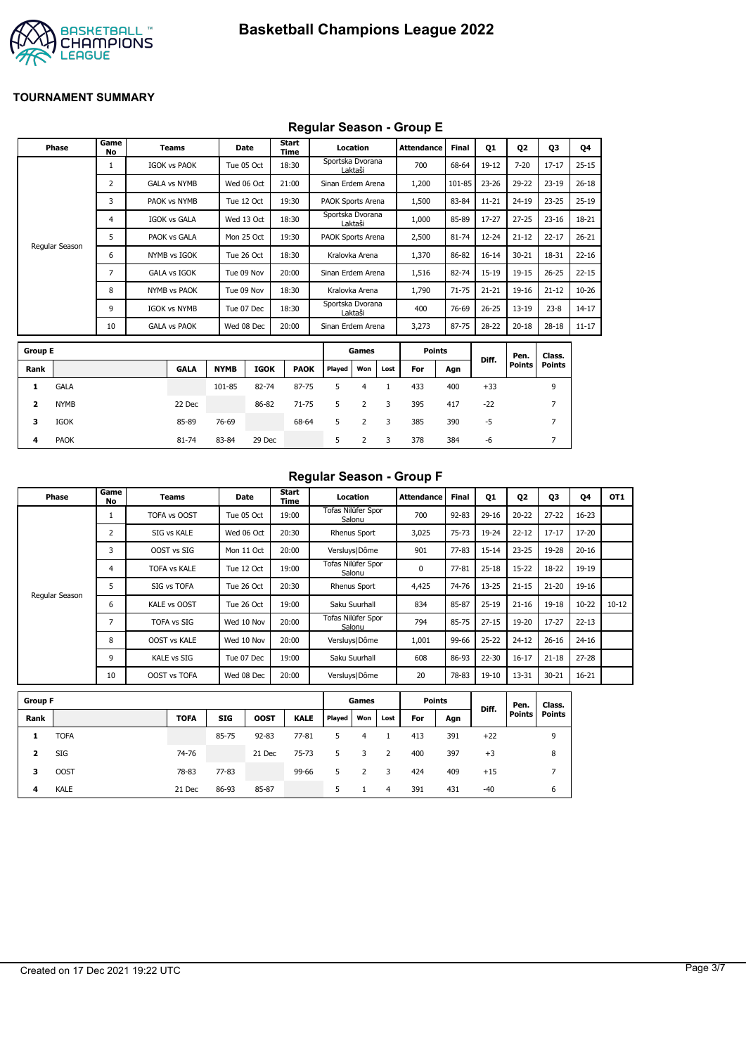

## **Regular Season - Group E**

|                         |                |                   |                     |             |             | .                    |                   |                |              |                   |              |           |           |                |           |
|-------------------------|----------------|-------------------|---------------------|-------------|-------------|----------------------|-------------------|----------------|--------------|-------------------|--------------|-----------|-----------|----------------|-----------|
|                         | <b>Phase</b>   | Game<br><b>No</b> | <b>Teams</b>        |             | Date        | <b>Start</b><br>Time |                   | Location       |              | <b>Attendance</b> | <b>Final</b> | Q1        | 02        | Q3             | 04        |
|                         |                | 1                 | <b>IGOK vs PAOK</b> |             | Tue 05 Oct  | 18:30                | Sportska Dvorana  | Laktaši        |              | 700               | 68-64        | 19-12     | $7 - 20$  | $17 - 17$      | $25 - 15$ |
|                         |                | 2                 | <b>GALA vs NYMB</b> |             | Wed 06 Oct  | 21:00                | Sinan Erdem Arena |                |              | 1,200             | 101-85       | $23 - 26$ | 29-22     | $23-19$        | $26 - 18$ |
|                         |                | 3                 | PAOK vs NYMB        |             | Tue 12 Oct  | 19:30                | PAOK Sports Arena |                |              | 1,500             | 83-84        | $11 - 21$ | $24 - 19$ | $23 - 25$      | $25-19$   |
|                         |                | 4                 | <b>IGOK vs GALA</b> |             | Wed 13 Oct  | 18:30                | Sportska Dvorana  | Laktaši        |              | 1,000             | 85-89        | $17 - 27$ | $27 - 25$ | $23 - 16$      | 18-21     |
|                         |                | 5                 | PAOK vs GALA        |             | Mon 25 Oct  | 19:30                | PAOK Sports Arena |                |              | 2,500             | $81 - 74$    | $12 - 24$ | $21 - 12$ | $22 - 17$      | $26 - 21$ |
|                         | Regular Season | 6                 | NYMB vs IGOK        |             | Tue 26 Oct  | 18:30                |                   | Kralovka Arena |              | 1,370             | 86-82        | $16 - 14$ | $30 - 21$ | 18-31          | $22 - 16$ |
|                         |                | 7                 | <b>GALA vs IGOK</b> |             | Tue 09 Nov  | 20:00                | Sinan Erdem Arena |                |              | 1,516             | 82-74        | $15-19$   | $19 - 15$ | $26 - 25$      | $22 - 15$ |
|                         |                | 8                 | <b>NYMB vs PAOK</b> |             | Tue 09 Nov  | 18:30                |                   | Kralovka Arena |              | 1,790             | $71 - 75$    | $21 - 21$ | 19-16     | $21 - 12$      | $10 - 26$ |
|                         |                | 9                 | <b>IGOK vs NYMB</b> |             | Tue 07 Dec  | 18:30                | Sportska Dvorana  | Laktaši        |              | 400               | 76-69        | $26 - 25$ | $13 - 19$ | $23 - 8$       | $14 - 17$ |
|                         |                | 10                | <b>GALA vs PAOK</b> |             | Wed 08 Dec  | 20:00                | Sinan Erdem Arena |                |              | 3,273             | 87-75        | 28-22     | $20 - 18$ | $28 - 18$      | $11 - 17$ |
| <b>Group E</b>          |                |                   |                     |             |             |                      |                   | Games          |              | <b>Points</b>     |              |           | Pen.      | Class.         |           |
| Rank                    |                |                   | <b>GALA</b>         | <b>NYMB</b> | <b>IGOK</b> | <b>PAOK</b>          | Played            | Won            | Lost         | For               | Agn          | Diff.     | Points    | <b>Points</b>  |           |
| 1                       | <b>GALA</b>    |                   |                     | 101-85      | 82-74       | 87-75                | 5                 | $\overline{4}$ | $\mathbf{1}$ | 433               | 400          | $+33$     |           | 9              |           |
| $\overline{\mathbf{2}}$ | <b>NYMB</b>    |                   | 22 Dec              |             | 86-82       | $71 - 75$            | 5                 | $\overline{2}$ | 3            | 395               | 417          | $-22$     |           | $\overline{7}$ |           |
| з                       | <b>IGOK</b>    |                   | 85-89               | 76-69       |             | 68-64                | 5                 | $\overline{2}$ | 3            | 385               | 390          | $-5$      |           | $\overline{7}$ |           |
| 4                       | <b>PAOK</b>    |                   | 81-74               | 83-84       | 29 Dec      |                      | 5                 | 2              | 3            | 378               | 384          | -6        |           | 7              |           |

## **Regular Season - Group F**

| Phase          | Game<br>No | Teams               | <b>Date</b> | Start<br>Time | Location                     | <b>Attendance</b> | <b>Final</b> | 01        | Q <sub>2</sub> | Q3        | 04        | OT <sub>1</sub> |
|----------------|------------|---------------------|-------------|---------------|------------------------------|-------------------|--------------|-----------|----------------|-----------|-----------|-----------------|
|                |            | TOFA vs OOST        | Tue 05 Oct  | 19:00         | Tofas Nilüfer Spor<br>Salonu | 700               | $92 - 83$    | $29-16$   | $20 - 22$      | $27 - 22$ | $16 - 23$ |                 |
|                |            | SIG vs KALE         | Wed 06 Oct  | 20:30         | Rhenus Sport                 | 3,025             | $75 - 73$    | 19-24     | $22 - 12$      | $17 - 17$ | 17-20     |                 |
|                | 3          | OOST vs SIG         | Mon 11 Oct  | 20:00         | Versluys   Dôme              | 901               | 77-83        | $15 - 14$ | $23 - 25$      | 19-28     | $20 - 16$ |                 |
|                | 4          | <b>TOFA vs KALE</b> | Tue 12 Oct  | 19:00         | Tofas Nilüfer Spor<br>Salonu | 0                 | $77 - 81$    | $25 - 18$ | $15 - 22$      | $18 - 22$ | 19-19     |                 |
|                |            | SIG vs TOFA         | Tue 26 Oct  | 20:30         | Rhenus Sport                 | 4,425             | 74-76        | $13 - 25$ | $21 - 15$      | $21 - 20$ | 19-16     |                 |
| Regular Season | 6          | <b>KALE vs OOST</b> | Tue 26 Oct  | 19:00         | Saku Suurhall                | 834               | 85-87        | $25-19$   | $21 - 16$      | $19 - 18$ | $10 - 22$ | $10 - 12$       |
|                |            | <b>TOFA vs SIG</b>  | Wed 10 Nov  | 20:00         | Tofas Nilüfer Spor<br>Salonu | 794               | 85-75        | $27 - 15$ | 19-20          | $17 - 27$ | $22 - 13$ |                 |
|                | 8          | <b>OOST vs KALE</b> | Wed 10 Nov  | 20:00         | Versluys   Dôme              | 1,001             | 99-66        | $25 - 22$ | $24 - 12$      | $26 - 16$ | $24 - 16$ |                 |
|                | 9          | KALE vs SIG         | Tue 07 Dec  | 19:00         | Saku Suurhall                | 608               | 86-93        | $22 - 30$ | $16 - 17$      | $21 - 18$ | $27 - 28$ |                 |
|                | 10         | OOST vs TOFA        | Wed 08 Dec  | 20:00         | Versluys   Dôme              | 20                | 78-83        | $19-10$   | 13-31          | $30 - 21$ | $16 - 21$ |                 |

| <b>Group F</b> |             |             |            |             |             |        | Games |      | <b>Points</b> |     | Diff. | Pen.   | Class.        |
|----------------|-------------|-------------|------------|-------------|-------------|--------|-------|------|---------------|-----|-------|--------|---------------|
| Rank           |             | <b>TOFA</b> | <b>SIG</b> | <b>OOST</b> | <b>KALE</b> | Played | Won   | Lost | For           | Agn |       | Points | <b>Points</b> |
|                | <b>TOFA</b> |             | 85-75      | $92 - 83$   | $77 - 81$   | 5.     | 4     |      | 413           | 391 | $+22$ |        | 9             |
| 2              | SIG         | 74-76       |            | 21 Dec      | $75 - 73$   | 5.     | 3     | -2   | 400           | 397 | $+3$  |        | 8             |
| з              | <b>OOST</b> | 78-83       | $77 - 83$  |             | 99-66       | 5      |       | 3    | 424           | 409 | $+15$ |        | ⇁             |
| 4              | <b>KALE</b> | 21 Dec      | 86-93      | 85-87       |             | 5      |       | 4    | 391           | 431 | $-40$ |        | 6             |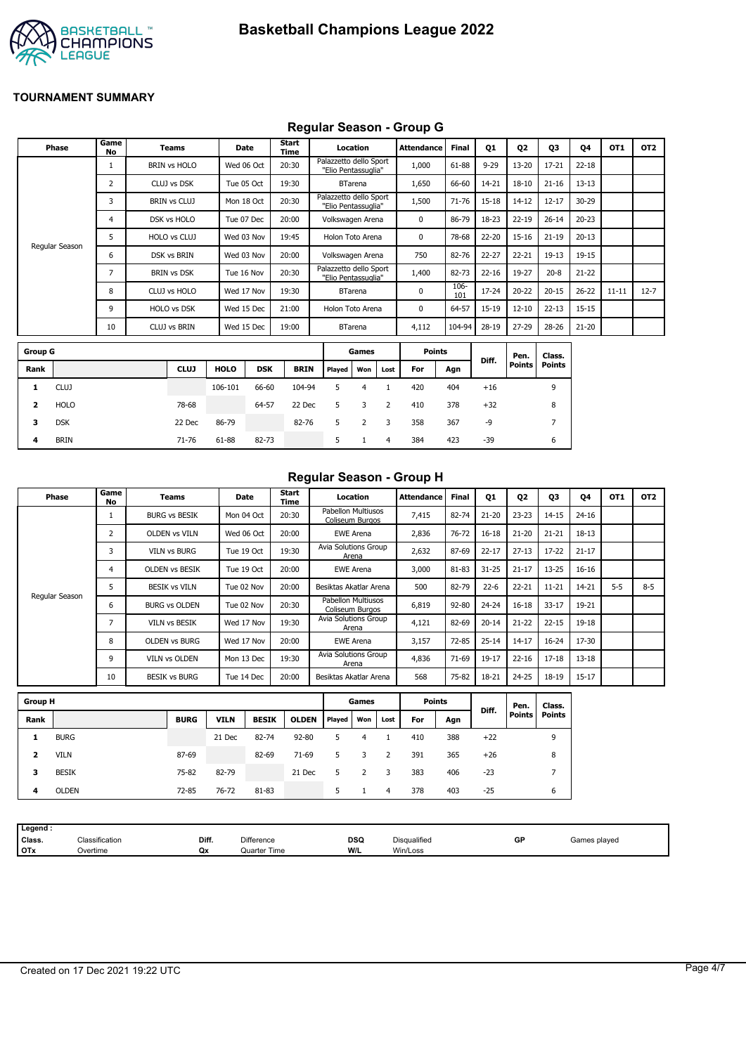

## **Regular Season - Group G**

|                         | Phase          | Game<br><b>No</b> | <b>Teams</b>        | <b>Date</b> |            | Start<br>Time |                                               | Location       |                | <b>Attendance</b> | <b>Final</b> | <b>01</b> | Q <sub>2</sub>        | Q3                      | Q4        | OT <sub>1</sub> | OT <sub>2</sub> |
|-------------------------|----------------|-------------------|---------------------|-------------|------------|---------------|-----------------------------------------------|----------------|----------------|-------------------|--------------|-----------|-----------------------|-------------------------|-----------|-----------------|-----------------|
|                         |                | 1                 | <b>BRIN vs HOLO</b> | Wed 06 Oct  |            | 20:30         | Palazzetto dello Sport<br>"Elio Pentassuglia" |                |                | 1,000             | 61-88        | $9 - 29$  | 13-20                 | $17 - 21$               | $22 - 18$ |                 |                 |
|                         |                | $\overline{2}$    | CLUJ vs DSK         | Tue 05 Oct  |            | 19:30         |                                               | <b>BTarena</b> |                | 1,650             | 66-60        | $14 - 21$ | $18 - 10$             | $21 - 16$               | $13 - 13$ |                 |                 |
|                         |                | 3                 | <b>BRIN vs CLUJ</b> | Mon 18 Oct  |            | 20:30         | Palazzetto dello Sport<br>"Elio Pentassuglia" |                |                | 1,500             | 71-76        | $15 - 18$ | $14 - 12$             | $12 - 17$               | 30-29     |                 |                 |
|                         |                | 4                 | DSK vs HOLO         | Tue 07 Dec  |            | 20:00         | Volkswagen Arena                              |                |                | 0                 | 86-79        | 18-23     | $22 - 19$             | $26 - 14$               | $20 - 23$ |                 |                 |
|                         |                | 5                 | HOLO vs CLUJ        | Wed 03 Nov  |            | 19:45         | Holon Toto Arena                              |                |                | 0                 | 78-68        | 22-20     | $15 - 16$             | $21 - 19$               | $20 - 13$ |                 |                 |
|                         | Regular Season | 6                 | DSK vs BRIN         | Wed 03 Nov  |            | 20:00         | Volkswagen Arena                              |                |                | 750               | 82-76        | $22 - 27$ | $22 - 21$             | $19 - 13$               | 19-15     |                 |                 |
|                         |                | $\overline{7}$    | <b>BRIN vs DSK</b>  | Tue 16 Nov  |            | 20:30         | Palazzetto dello Sport<br>"Elio Pentassuglia" |                |                | 1,400             | 82-73        | $22 - 16$ | 19-27                 | $20 - 8$                | $21 - 22$ |                 |                 |
|                         |                | 8                 | CLUJ vs HOLO        | Wed 17 Nov  |            | 19:30         |                                               | <b>BTarena</b> |                | 0                 | 106-<br>101  | 17-24     | $20 - 22$             | $20 - 15$               | $26 - 22$ | $11 - 11$       | $12 - 7$        |
|                         |                | 9                 | <b>HOLO vs DSK</b>  | Wed 15 Dec  |            | 21:00         | Holon Toto Arena                              |                |                | 0                 | 64-57        | 15-19     | $12 - 10$             | $22 - 13$               | $15 - 15$ |                 |                 |
|                         |                | 10                | CLUJ vs BRIN        | Wed 15 Dec  |            | 19:00         |                                               | <b>BTarena</b> |                | 4,112             | 104-94       | 28-19     | 27-29                 | $28 - 26$               | $21 - 20$ |                 |                 |
| <b>Group G</b>          |                |                   |                     |             |            |               |                                               | Games          |                | <b>Points</b>     |              |           |                       |                         |           |                 |                 |
| Rank                    |                |                   | <b>CLUJ</b>         | <b>HOLO</b> | <b>DSK</b> | <b>BRIN</b>   | Played                                        | Won            | Lost           | For               | Agn          | Diff.     | Pen.<br><b>Points</b> | Class.<br><b>Points</b> |           |                 |                 |
| 1                       | <b>CLUJ</b>    |                   |                     | 106-101     | 66-60      | 104-94        | 5                                             | 4              | 1              | 420               | 404          | $+16$     |                       | 9                       |           |                 |                 |
|                         |                |                   |                     |             |            |               |                                               |                |                |                   |              |           |                       |                         |           |                 |                 |
| $\overline{\mathbf{2}}$ | <b>HOLO</b>    |                   | 78-68               |             | 64-57      | 22 Dec        | 5                                             | 3              | $\overline{2}$ | 410               | 378          | $+32$     |                       | 8                       |           |                 |                 |
| 3                       | <b>DSK</b>     |                   | 22 Dec              | 86-79       |            | 82-76         | 5                                             | $\overline{2}$ | 3              | 358               | 367          | $-9$      |                       | 7                       |           |                 |                 |
| 4                       | <b>BRIN</b>    |                   | 71-76               | 61-88       | 82-73      |               | 5                                             | $\mathbf{1}$   | $\overline{4}$ | 384               | 423          | $-39$     |                       | 6                       |           |                 |                 |

#### **Regular Season - Group H**

|                | Phase          | Game<br><b>No</b> | Teams                 |             | Date         | Start<br>Time |                  | Location                              |                | <b>Attendance</b> | <b>Final</b> | Q1        | Q <sub>2</sub> | Q3            | Q4        | OT <sub>1</sub> | OT <sub>2</sub> |
|----------------|----------------|-------------------|-----------------------|-------------|--------------|---------------|------------------|---------------------------------------|----------------|-------------------|--------------|-----------|----------------|---------------|-----------|-----------------|-----------------|
|                |                | $\mathbf{1}$      | <b>BURG vs BESIK</b>  |             | Mon 04 Oct   | 20:30         |                  | Pabellon Multiusos<br>Coliseum Burgos |                | 7,415             | 82-74        | $21 - 20$ | $23 - 23$      | $14 - 15$     | $24 - 16$ |                 |                 |
|                |                | $\overline{2}$    | <b>OLDEN vs VILN</b>  |             | Wed 06 Oct   | 20:00         | <b>EWE Arena</b> |                                       |                | 2,836             | 76-72        | $16 - 18$ | $21 - 20$      | $21 - 21$     | $18 - 13$ |                 |                 |
|                |                | 3                 | <b>VILN vs BURG</b>   |             | Tue 19 Oct   | 19:30         |                  | Avia Solutions Group<br>Arena         |                | 2,632             | 87-69        | $22 - 17$ | $27 - 13$      | $17 - 22$     | $21 - 17$ |                 |                 |
|                |                | 4                 | <b>OLDEN vs BESIK</b> |             | Tue 19 Oct   | 20:00         |                  | <b>EWE Arena</b>                      |                | 3,000             | 81-83        | $31 - 25$ | $21 - 17$      | $13 - 25$     | $16 - 16$ |                 |                 |
|                |                | 5.                | <b>BESIK vs VILN</b>  |             | Tue 02 Nov   | 20:00         |                  | Besiktas Akatlar Arena                |                | 500               | 82-79        | $22 - 6$  | $22 - 21$      | $11 - 21$     | 14-21     | $5 - 5$         | $8 - 5$         |
|                | Regular Season | 6                 | <b>BURG vs OLDEN</b>  |             | Tue 02 Nov   | 20:30         |                  | Pabellon Multiusos<br>Coliseum Burgos |                | 6,819             | 92-80        | $24 - 24$ | $16 - 18$      | $33 - 17$     | 19-21     |                 |                 |
|                |                | $\overline{7}$    | VILN vs BESIK         |             | Wed 17 Nov   | 19:30         |                  | Avia Solutions Group<br>Arena         |                | 4,121             | 82-69        | $20 - 14$ | $21 - 22$      | $22 - 15$     | 19-18     |                 |                 |
|                |                | 8                 | <b>OLDEN vs BURG</b>  |             | Wed 17 Nov   | 20:00         |                  | <b>EWE Arena</b>                      |                | 3,157             | 72-85        | $25 - 14$ | $14 - 17$      | $16 - 24$     | 17-30     |                 |                 |
|                |                | 9                 | VILN vs OLDEN         |             | Mon 13 Dec   | 19:30         |                  | Avia Solutions Group<br>Arena         |                | 4,836             | 71-69        | 19-17     | $22 - 16$      | $17 - 18$     | $13 - 18$ |                 |                 |
|                |                | 10                | <b>BESIK vs BURG</b>  |             | Tue 14 Dec   | 20:00         |                  | Besiktas Akatlar Arena                |                | 568               | 75-82        | 18-21     | $24 - 25$      | $18 - 19$     | $15 - 17$ |                 |                 |
| <b>Group H</b> |                |                   |                       |             |              |               |                  | Games                                 |                | <b>Points</b>     |              |           | Pen.           | Class.        |           |                 |                 |
| Rank           |                |                   | <b>BURG</b>           | <b>VILN</b> | <b>BESIK</b> | <b>OLDEN</b>  | Played           | Won                                   | Lost           | For               | Agn          | Diff.     | <b>Points</b>  | <b>Points</b> |           |                 |                 |
| 1              | <b>BURG</b>    |                   |                       | 21 Dec      | 82-74        | 92-80         | 5                | $\overline{4}$                        | 1              | 410               | 388          | $+22$     |                | 9             |           |                 |                 |
| 2              | <b>VILN</b>    |                   | 87-69                 |             | 82-69        | 71-69         | 5                | 3                                     | $\overline{2}$ | 391               | 365          | $+26$     |                | 8             |           |                 |                 |
| 3              | <b>BESIK</b>   |                   | 75-82                 | 82-79       |              | 21 Dec        | 5                | $\overline{2}$                        | 3              | 383               | 406          | $-23$     |                | 7             |           |                 |                 |
| 4              | <b>OLDEN</b>   |                   | 72-85                 | 76-72       | 81-83        |               | 5                | $\mathbf{1}$                          | 4              | 378               | 403          | $-25$     |                | 6             |           |                 |                 |
|                |                |                   |                       |             |              |               |                  |                                       |                |                   |              |           |                |               |           |                 |                 |

| Legend :   |                |       |                                                                                                                                 |            |                                                             |    |              |
|------------|----------------|-------|---------------------------------------------------------------------------------------------------------------------------------|------------|-------------------------------------------------------------|----|--------------|
| Class.     | Classification | Diff. | <b>Difference</b>                                                                                                               | <b>DSQ</b> | <b>Disqualified</b>                                         | GP | Games plaved |
| <b>OTx</b> | Jvertime       | Qx    | Quarter Time<br>the contract of the contract of the contract of the contract of the contract of the contract of the contract of | W/L        | Win/Loss<br>the contract of the contract of the contract of |    |              |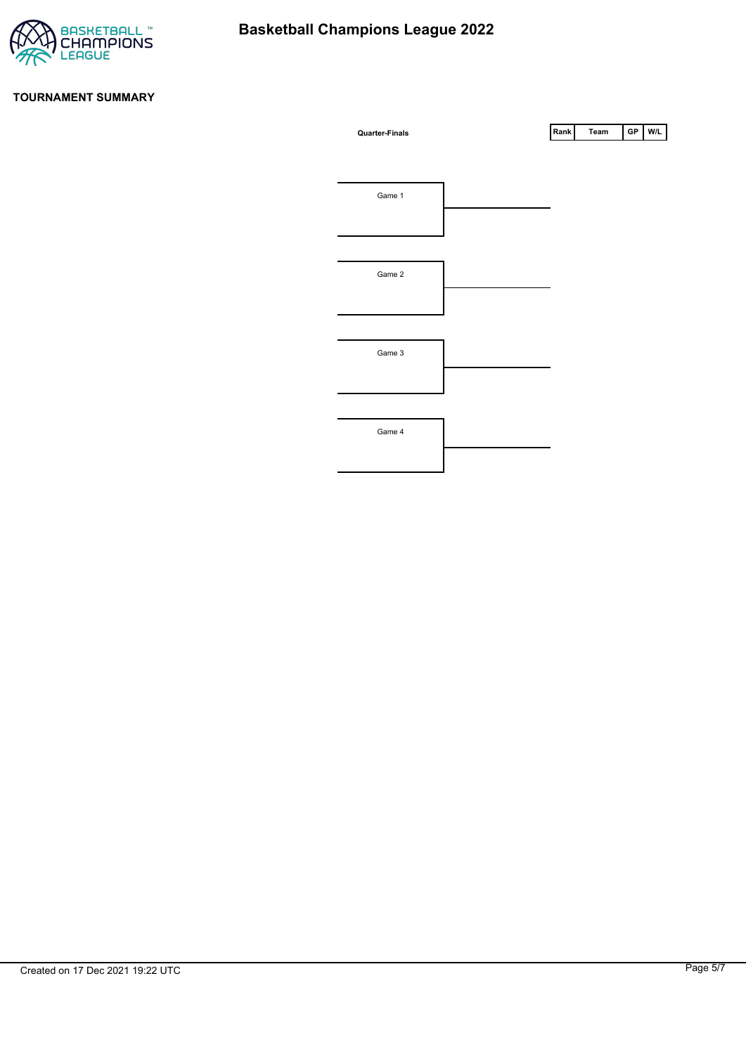

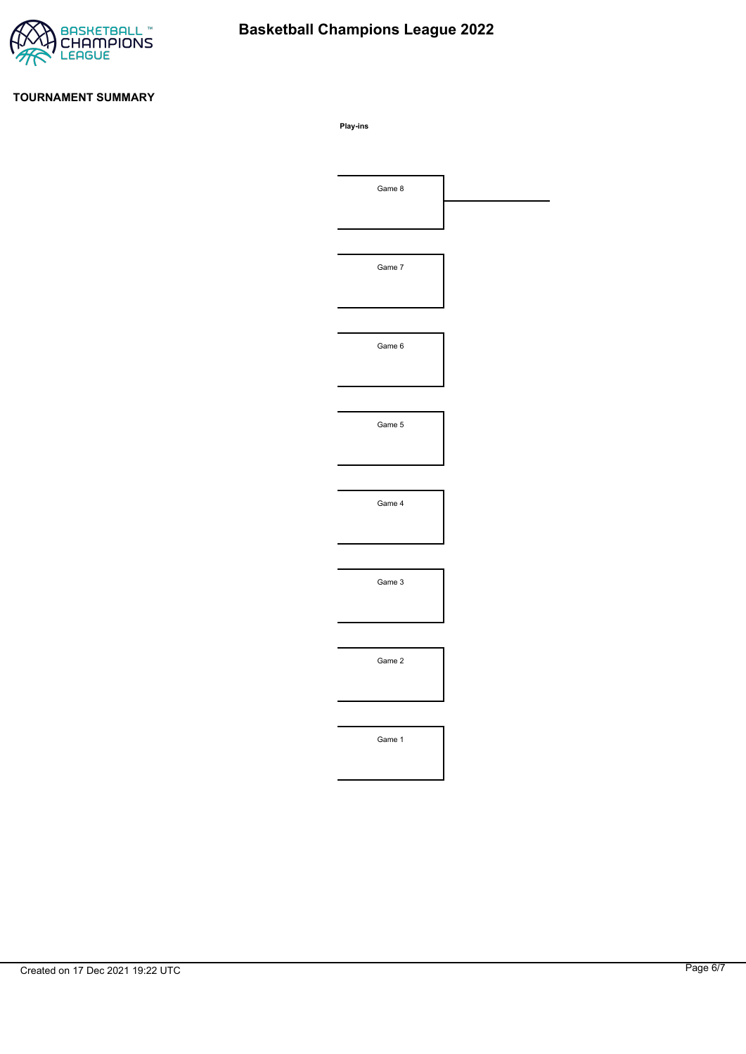

# **Basketball Champions League 2022**

#### **TOURNAMENT SUMMARY**

**Play-ins**

| Game 8 |  |
|--------|--|
|        |  |
|        |  |
| Game 7 |  |
|        |  |
|        |  |
| Game 6 |  |
|        |  |
|        |  |
| Game 5 |  |
|        |  |
|        |  |
| Game 4 |  |
|        |  |
|        |  |
| Game 3 |  |
|        |  |
|        |  |
| Game 2 |  |
|        |  |
|        |  |
| Game 1 |  |
|        |  |
|        |  |